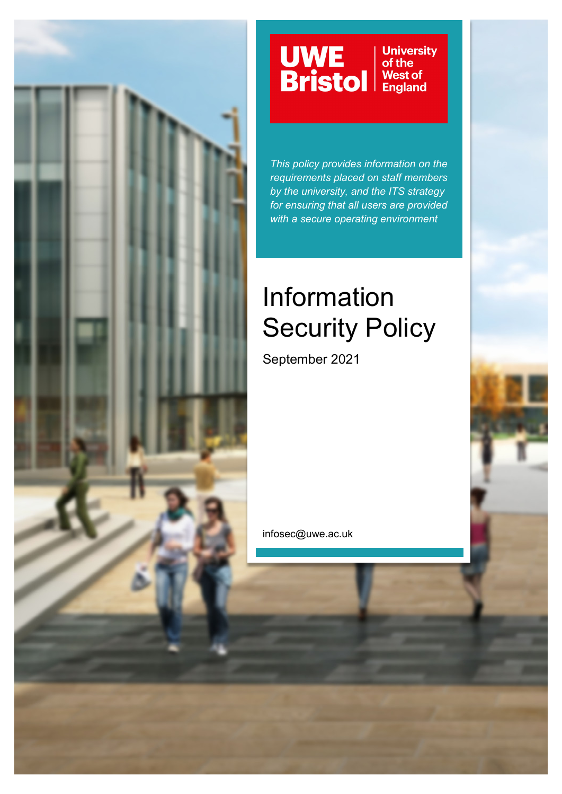

# UWE<br>Bristol

**University**<br>of the West of<br>England

*This policy provides information on the requirements placed on staff members by the university, and the ITS strategy for ensuring that all users are provided with a secure operating environment*

# Information Security Policy

September 2021

infosec@uwe.ac.uk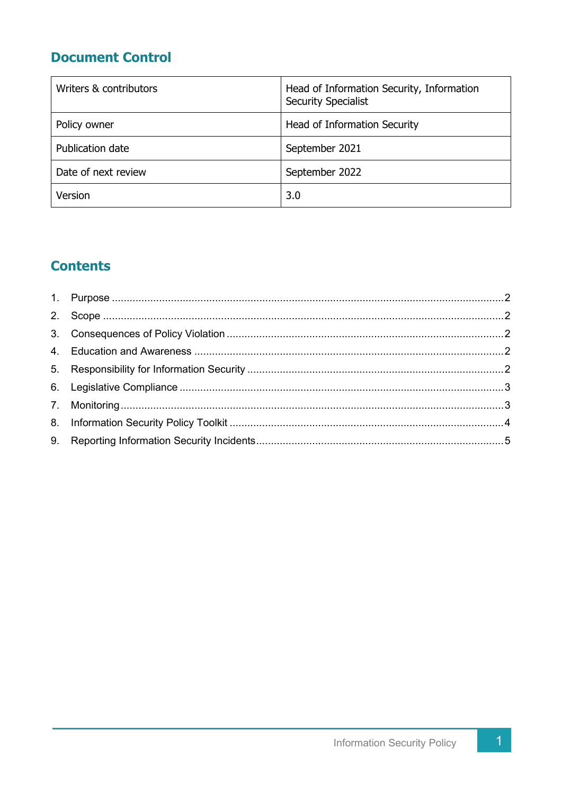## **Document Control**

| Writers & contributors | Head of Information Security, Information<br><b>Security Specialist</b> |
|------------------------|-------------------------------------------------------------------------|
| Policy owner           | Head of Information Security                                            |
| Publication date       | September 2021                                                          |
| Date of next review    | September 2022                                                          |
| Version                | 3.0                                                                     |

# **Contents**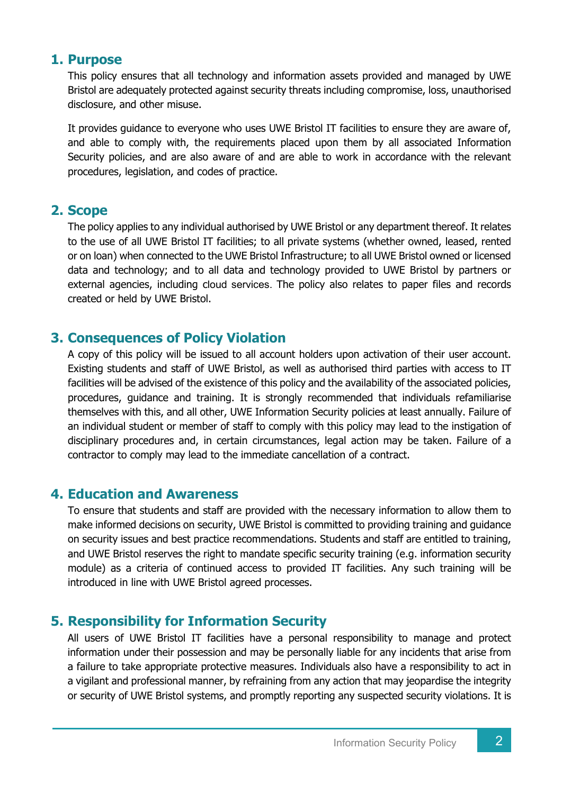#### **1. Purpose**

This policy ensures that all technology and information assets provided and managed by UWE Bristol are adequately protected against security threats including compromise, loss, unauthorised disclosure, and other misuse.

It provides guidance to everyone who uses UWE Bristol IT facilities to ensure they are aware of, and able to comply with, the requirements placed upon them by all associated Information Security policies, and are also aware of and are able to work in accordance with the relevant procedures, legislation, and codes of practice.

#### **2. Scope**

The policy applies to any individual authorised by UWE Bristol or any department thereof. It relates to the use of all UWE Bristol IT facilities; to all private systems (whether owned, leased, rented or on loan) when connected to the UWE Bristol Infrastructure; to all UWE Bristol owned or licensed data and technology; and to all data and technology provided to UWE Bristol by partners or external agencies, including cloud services. The policy also relates to paper files and records created or held by UWE Bristol.

#### **3. Consequences of Policy Violation**

A copy of this policy will be issued to all account holders upon activation of their user account. Existing students and staff of UWE Bristol, as well as authorised third parties with access to IT facilities will be advised of the existence of this policy and the availability of the associated policies, procedures, guidance and training. It is strongly recommended that individuals refamiliarise themselves with this, and all other, UWE Information Security policies at least annually. Failure of an individual student or member of staff to comply with this policy may lead to the instigation of disciplinary procedures and, in certain circumstances, legal action may be taken. Failure of a contractor to comply may lead to the immediate cancellation of a contract.

#### **4. Education and Awareness**

To ensure that students and staff are provided with the necessary information to allow them to make informed decisions on security, UWE Bristol is committed to providing training and guidance on security issues and best practice recommendations. Students and staff are entitled to training, and UWE Bristol reserves the right to mandate specific security training (e.g. information security module) as a criteria of continued access to provided IT facilities. Any such training will be introduced in line with UWE Bristol agreed processes.

#### **5. Responsibility for Information Security**

All users of UWE Bristol IT facilities have a personal responsibility to manage and protect information under their possession and may be personally liable for any incidents that arise from a failure to take appropriate protective measures. Individuals also have a responsibility to act in a vigilant and professional manner, by refraining from any action that may jeopardise the integrity or security of UWE Bristol systems, and promptly reporting any suspected security violations. It is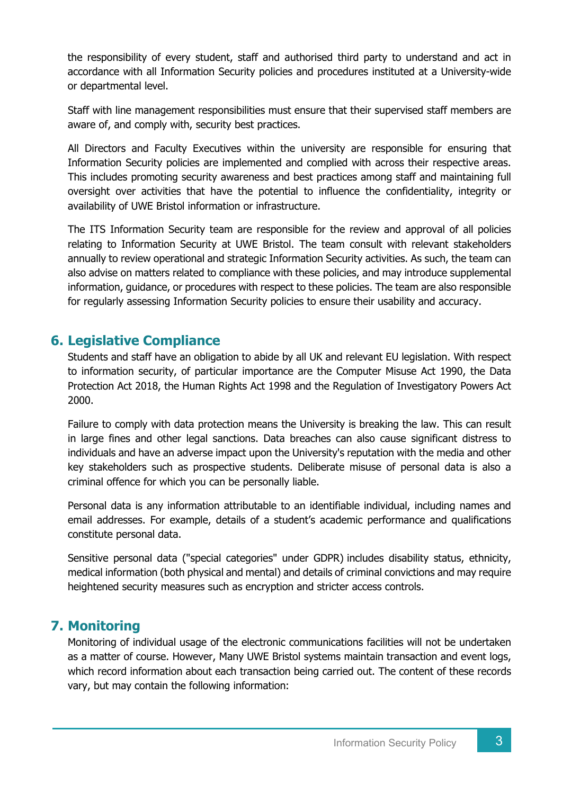the responsibility of every student, staff and authorised third party to understand and act in accordance with all Information Security policies and procedures instituted at a University-wide or departmental level.

Staff with line management responsibilities must ensure that their supervised staff members are aware of, and comply with, security best practices.

All Directors and Faculty Executives within the university are responsible for ensuring that Information Security policies are implemented and complied with across their respective areas. This includes promoting security awareness and best practices among staff and maintaining full oversight over activities that have the potential to influence the confidentiality, integrity or availability of UWE Bristol information or infrastructure.

The ITS Information Security team are responsible for the review and approval of all policies relating to Information Security at UWE Bristol. The team consult with relevant stakeholders annually to review operational and strategic Information Security activities. As such, the team can also advise on matters related to compliance with these policies, and may introduce supplemental information, guidance, or procedures with respect to these policies. The team are also responsible for regularly assessing Information Security policies to ensure their usability and accuracy.

#### **6. Legislative Compliance**

Students and staff have an obligation to abide by all UK and relevant EU legislation. With respect to information security, of particular importance are the Computer Misuse Act 1990, the Data Protection Act 2018, the Human Rights Act 1998 and the Regulation of Investigatory Powers Act 2000.

Failure to comply with data protection means the University is breaking the law. This can result in large fines and other legal sanctions. Data breaches can also cause significant distress to individuals and have an adverse impact upon the University's reputation with the media and other key stakeholders such as prospective students. Deliberate misuse of personal data is also a criminal offence for which you can be personally liable.

Personal data is any information attributable to an identifiable individual, including names and email addresses. For example, details of a student's academic performance and qualifications constitute personal data.

Sensitive personal data ("special categories" under GDPR) includes disability status, ethnicity, medical information (both physical and mental) and details of criminal convictions and may require heightened security measures such as encryption and stricter access controls.

#### **7. Monitoring**

Monitoring of individual usage of the electronic communications facilities will not be undertaken as a matter of course. However, Many UWE Bristol systems maintain transaction and event logs, which record information about each transaction being carried out. The content of these records vary, but may contain the following information: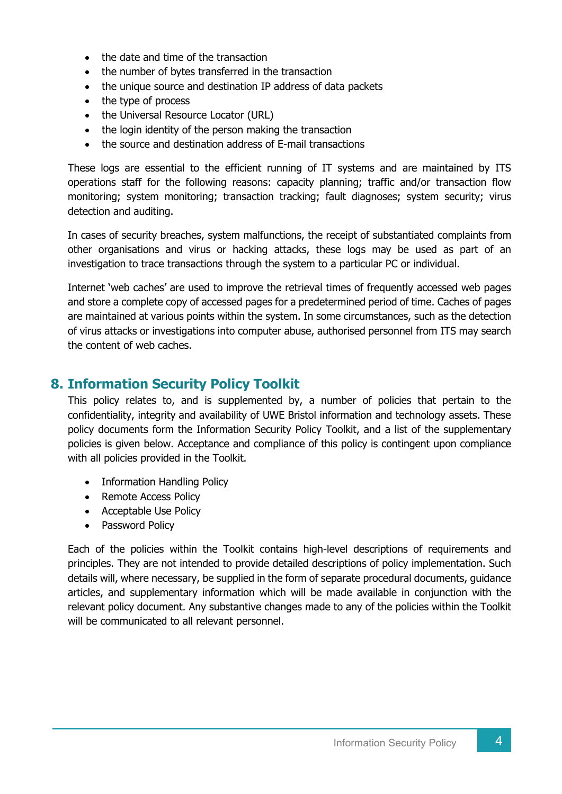- the date and time of the transaction
- the number of bytes transferred in the transaction
- the unique source and destination IP address of data packets
- the type of process
- the Universal Resource Locator (URL)
- the login identity of the person making the transaction
- the source and destination address of E-mail transactions

These logs are essential to the efficient running of IT systems and are maintained by ITS operations staff for the following reasons: capacity planning; traffic and/or transaction flow monitoring; system monitoring; transaction tracking; fault diagnoses; system security; virus detection and auditing.

In cases of security breaches, system malfunctions, the receipt of substantiated complaints from other organisations and virus or hacking attacks, these logs may be used as part of an investigation to trace transactions through the system to a particular PC or individual.

Internet 'web caches' are used to improve the retrieval times of frequently accessed web pages and store a complete copy of accessed pages for a predetermined period of time. Caches of pages are maintained at various points within the system. In some circumstances, such as the detection of virus attacks or investigations into computer abuse, authorised personnel from ITS may search the content of web caches.

#### **8. Information Security Policy Toolkit**

This policy relates to, and is supplemented by, a number of policies that pertain to the confidentiality, integrity and availability of UWE Bristol information and technology assets. These policy documents form the Information Security Policy Toolkit, and a list of the supplementary policies is given below. Acceptance and compliance of this policy is contingent upon compliance with all policies provided in the Toolkit.

- Information Handling Policy
- Remote Access Policy
- Acceptable Use Policy
- Password Policy

Each of the policies within the Toolkit contains high-level descriptions of requirements and principles. They are not intended to provide detailed descriptions of policy implementation. Such details will, where necessary, be supplied in the form of separate procedural documents, guidance articles, and supplementary information which will be made available in conjunction with the relevant policy document. Any substantive changes made to any of the policies within the Toolkit will be communicated to all relevant personnel.